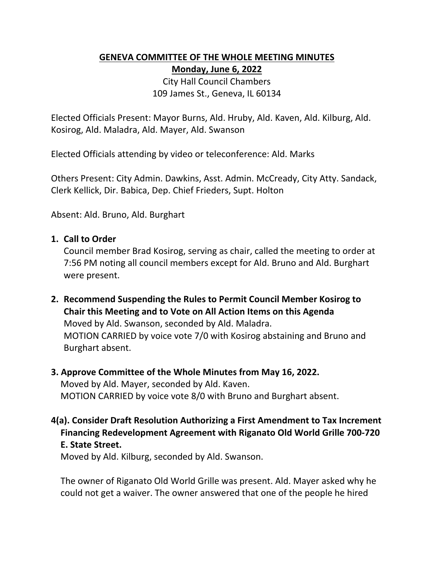# **GENEVA COMMITTEE OF THE WHOLE MEETING MINUTES Monday, June 6, 2022**

City Hall Council Chambers 109 James St., Geneva, IL 60134

Elected Officials Present: Mayor Burns, Ald. Hruby, Ald. Kaven, Ald. Kilburg, Ald. Kosirog, Ald. Maladra, Ald. Mayer, Ald. Swanson

Elected Officials attending by video or teleconference: Ald. Marks

Others Present: City Admin. Dawkins, Asst. Admin. McCready, City Atty. Sandack, Clerk Kellick, Dir. Babica, Dep. Chief Frieders, Supt. Holton

Absent: Ald. Bruno, Ald. Burghart

### **1. Call to Order**

Council member Brad Kosirog, serving as chair, called the meeting to order at 7:56 PM noting all council members except for Ald. Bruno and Ald. Burghart were present.

**2. Recommend Suspending the Rules to Permit Council Member Kosirog to Chair this Meeting and to Vote on All Action Items on this Agenda**  Moved by Ald. Swanson, seconded by Ald. Maladra. MOTION CARRIED by voice vote 7/0 with Kosirog abstaining and Bruno and Burghart absent.

### **3. Approve Committee of the Whole Minutes from May 16, 2022.**

Moved by Ald. Mayer, seconded by Ald. Kaven. MOTION CARRIED by voice vote 8/0 with Bruno and Burghart absent.

**4(a). Consider Draft Resolution Authorizing a First Amendment to Tax Increment Financing Redevelopment Agreement with Riganato Old World Grille 700‐720 E. State Street.**

Moved by Ald. Kilburg, seconded by Ald. Swanson.

The owner of Riganato Old World Grille was present. Ald. Mayer asked why he could not get a waiver. The owner answered that one of the people he hired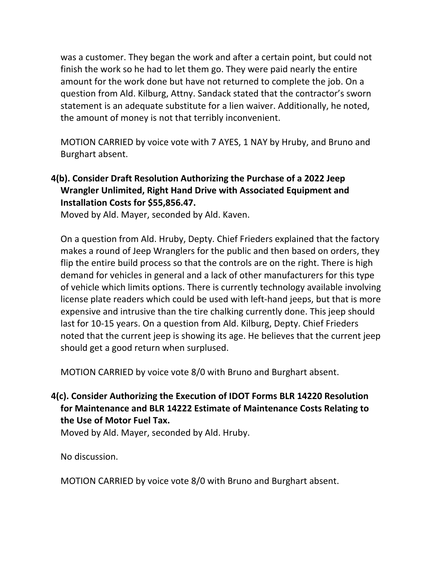was a customer. They began the work and after a certain point, but could not finish the work so he had to let them go. They were paid nearly the entire amount for the work done but have not returned to complete the job. On a question from Ald. Kilburg, Attny. Sandack stated that the contractor's sworn statement is an adequate substitute for a lien waiver. Additionally, he noted, the amount of money is not that terribly inconvenient.

MOTION CARRIED by voice vote with 7 AYES, 1 NAY by Hruby, and Bruno and Burghart absent.

## **4(b). Consider Draft Resolution Authorizing the Purchase of a 2022 Jeep Wrangler Unlimited, Right Hand Drive with Associated Equipment and Installation Costs for \$55,856.47.**

Moved by Ald. Mayer, seconded by Ald. Kaven.

On a question from Ald. Hruby, Depty. Chief Frieders explained that the factory makes a round of Jeep Wranglers for the public and then based on orders, they flip the entire build process so that the controls are on the right. There is high demand for vehicles in general and a lack of other manufacturers for this type of vehicle which limits options. There is currently technology available involving license plate readers which could be used with left‐hand jeeps, but that is more expensive and intrusive than the tire chalking currently done. This jeep should last for 10‐15 years. On a question from Ald. Kilburg, Depty. Chief Frieders noted that the current jeep is showing its age. He believes that the current jeep should get a good return when surplused.

MOTION CARRIED by voice vote 8/0 with Bruno and Burghart absent.

## **4(c). Consider Authorizing the Execution of IDOT Forms BLR 14220 Resolution for Maintenance and BLR 14222 Estimate of Maintenance Costs Relating to the Use of Motor Fuel Tax.**

Moved by Ald. Mayer, seconded by Ald. Hruby.

No discussion.

MOTION CARRIED by voice vote 8/0 with Bruno and Burghart absent.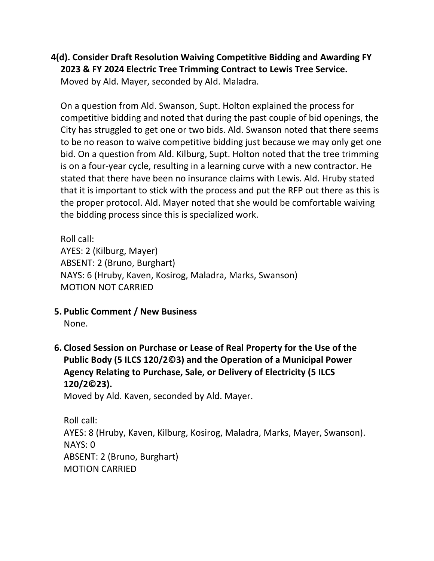**4(d). Consider Draft Resolution Waiving Competitive Bidding and Awarding FY 2023 & FY 2024 Electric Tree Trimming Contract to Lewis Tree Service.**  Moved by Ald. Mayer, seconded by Ald. Maladra.

On a question from Ald. Swanson, Supt. Holton explained the process for competitive bidding and noted that during the past couple of bid openings, the City has struggled to get one or two bids. Ald. Swanson noted that there seems to be no reason to waive competitive bidding just because we may only get one bid. On a question from Ald. Kilburg, Supt. Holton noted that the tree trimming is on a four‐year cycle, resulting in a learning curve with a new contractor. He stated that there have been no insurance claims with Lewis. Ald. Hruby stated that it is important to stick with the process and put the RFP out there as this is the proper protocol. Ald. Mayer noted that she would be comfortable waiving the bidding process since this is specialized work.

Roll call: AYES: 2 (Kilburg, Mayer) ABSENT: 2 (Bruno, Burghart) NAYS: 6 (Hruby, Kaven, Kosirog, Maladra, Marks, Swanson) MOTION NOT CARRIED

**5. Public Comment / New Business** 

None.

**6. Closed Session on Purchase or Lease of Real Property for the Use of the Public Body (5 ILCS 120/2©3) and the Operation of a Municipal Power Agency Relating to Purchase, Sale, or Delivery of Electricity (5 ILCS 120/2©23).** 

Moved by Ald. Kaven, seconded by Ald. Mayer.

Roll call: AYES: 8 (Hruby, Kaven, Kilburg, Kosirog, Maladra, Marks, Mayer, Swanson). NAYS: 0 ABSENT: 2 (Bruno, Burghart) MOTION CARRIED